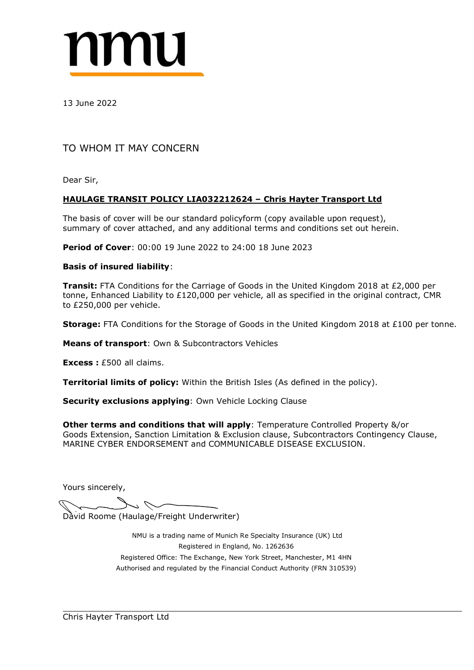

TO WHOM IT MAY CONCERN<br>Dear Sir,<br>HAULAGE TRANSIT POLICY LIA032212624 – Chris Havter Transport Ltd<br>The basis of cover will be our standard policyform (copy available upon request),<br>summary of cover: 00:00 19 June 2022 to 24 TO WHOM IT MAY CONCERN<br>
Dear Sir,<br>
HAULAGE TRANSIT POLICY LIA032212624 – Chris Hayter Transport Ltd<br>
The basis of cover will be our standard policyform (copy available upon request),<br>
summary of cover: 00:00 19 June 2022 13 June 2022<br>
TO WHOM IT MAY CONCERN<br>
Dear Sir,<br>
HAULAGE TRANSIT POLICY LIA032212624 – Chris Hayter Transport Ltd<br>
The basis of cover will be our standard policyform (copy available upon request),<br>
summary of cover: 00:00 13 June 2022<br>
TO WHOM IT MAY CONCERN<br>
Dear Sir,<br> **HAULAGE TRANSIT POLICY LIA032212624 – Chris Havter Transport Ltd**<br>
The basis of cover will be our standard policyform (copy available upon request),<br>
summary of cover: 00:0 TO WHOM IT MAY CONCERN<br>
Dear Sir,<br> **HAULAGE TRANSIT POLICY LIA032212624 – Chris Hayter Transport Ltd**<br>
The basis of cover will be our standard policyform (copy available upon request),<br>
summary of cover attached, and any a TO WHOM IT MAY CONCERN<br>
Dear Sir,<br> **HAULAGE TRANSIT POLICY LIA032212624 – Chris Hayter Transport Ltd**<br>
The basis of cover will be our standard policyform (copy available upon request),<br> **Deriod of Cover:** 00:00 19 June 202 Dear Sir,<br> **HAULAGE TRANSIT POLICY LIA032212624 – Chris Havter Transport Ltd**<br>
The basis of cover will be our standard policyform (copy available upon request),<br>
summary of cover: 00:00 19 June 2022 to 24:00 18 June 2023<br> **HALLAGE TRANSIT POLICY LIA032212624 – Chris Hayter Transport Ltd**<br>The basis of cover will be our standard policyform (copy available upon request),<br>summary of cover attached, and any additional terms and conditions set ou The basis of cover will be our standard policyform (copy available upon request), The basis of cover attached, and any additional terms and conditions set out herein.<br> **Period of Cover:** 00:00 19 June 2022 to 24:00 18 June summary of cover attached, and any additional terms and conditions set out herein.<br>**Period of Cover**: 00:00 19 June 2022 to 24:00 18 June 2023<br>**Basis of insured liability:**<br>**Transit:** FTA Conditions for the Carriage of Goo **Period of Cover:** 00:00 19 June 2022 to 24:00 18 June 2023<br> **Basis of insured liability:**<br> **Transit:** FTA Conditions for the Carriage of Goods in the United Kingdom 2018 at £2,000 per Konton, Enhanced Liability to £120,00

Other terms and conditions that will apply: Temperature Controlled Property &/or<br>
Goods Extension, Sanction Limitation & Exclusion clause, Subcontractors Contingency Clam<br>
MARINE CYBER ENDORSEMENT and COMMUNICABLE DISEASE Vithin the British Isles (As defined in the policy).<br> **ng:** Own Vehicle Locking Clause<br> **ss that will apply:** Temperature Controlled Property &/or<br>
mitation & Exclusion clause, Subcontractors Contingency Clause,<br>
NT and CO

**Storage:** FTA Conditions for the Storage of Goods in the United Kingdom<br> **Means of transport:** Own & Subcontractors Vehicles<br> **Excess:** £500 all claims.<br> **Territorial limits of policy:** Within the British Isles (As define **ION 1999 Subcontractors Vehicles<br>
I claims.**<br> **Sof policy:** Within the British Isles (As defined in the policy).<br> **ION 2019 Subset Conserved Conserved Conserved Conserved Conserved Conserved Conserved Conserved Conserved** registered (Manuscoft The Exchange Controlled Property & Article Street, Manuscoft Controlled Property & Article Controlled Property & Article Controlled Property & Article Controlled Property & Article Controlled Property mits of policy: Within the British Isles (As defined in the policy).<br>
Clusions applying: Own Vehicle Locking Clause<br>
and conditions that will apply: Temperature Controlled Property &/or<br>
Signal Conduction Authority (Clause